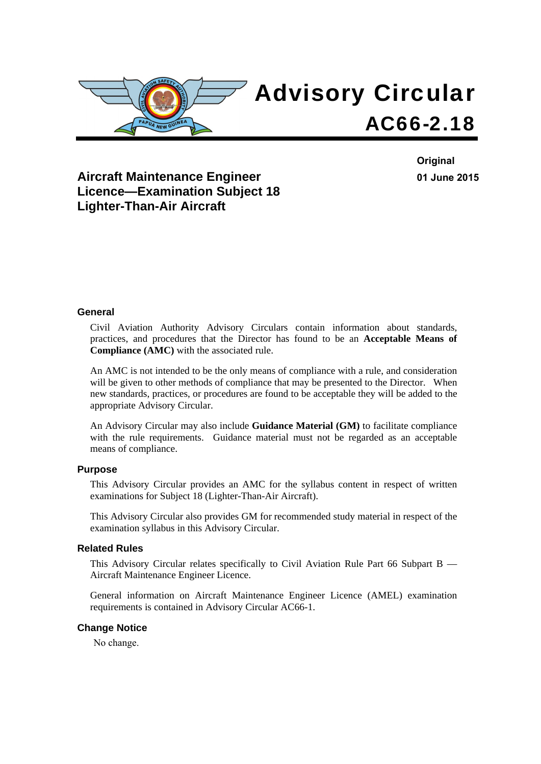

**Aircraft Maintenance Engineer Licence—Examination Subject 18 Lighter-Than-Air Aircraft** 

**Original 01 June 2015**

#### **General**

Civil Aviation Authority Advisory Circulars contain information about standards, practices, and procedures that the Director has found to be an **Acceptable Means of Compliance (AMC)** with the associated rule.

An AMC is not intended to be the only means of compliance with a rule, and consideration will be given to other methods of compliance that may be presented to the Director. When new standards, practices, or procedures are found to be acceptable they will be added to the appropriate Advisory Circular.

An Advisory Circular may also include **Guidance Material (GM)** to facilitate compliance with the rule requirements. Guidance material must not be regarded as an acceptable means of compliance.

#### **Purpose**

This Advisory Circular provides an AMC for the syllabus content in respect of written examinations for Subject 18 (Lighter-Than-Air Aircraft).

This Advisory Circular also provides GM for recommended study material in respect of the examination syllabus in this Advisory Circular.

#### **Related Rules**

This Advisory Circular relates specifically to Civil Aviation Rule Part 66 Subpart B — Aircraft Maintenance Engineer Licence.

General information on Aircraft Maintenance Engineer Licence (AMEL) examination requirements is contained in Advisory Circular AC66-1.

#### **Change Notice**

No change.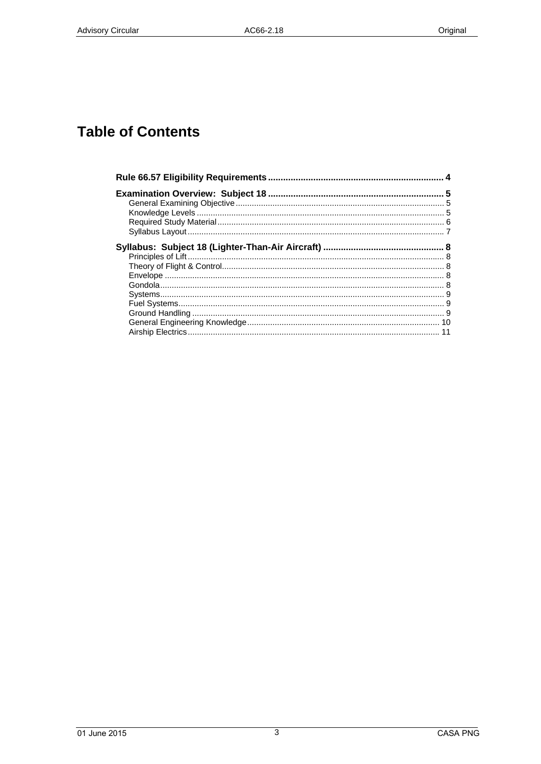# **Table of Contents**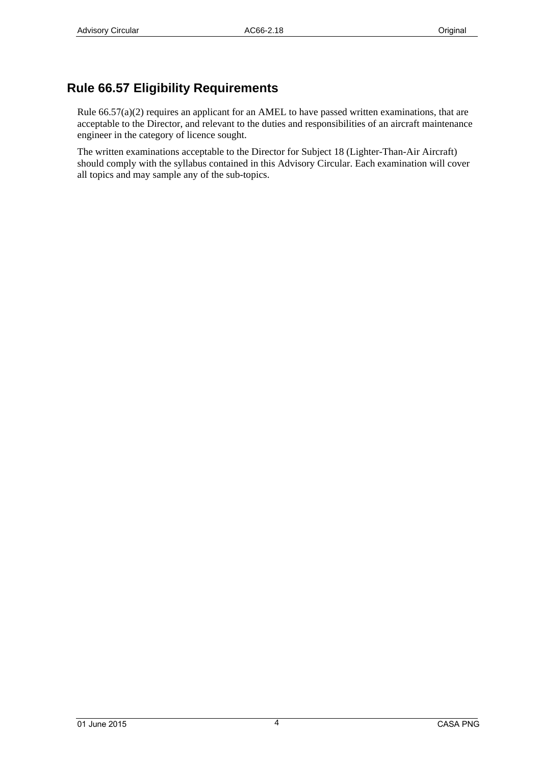## <span id="page-3-0"></span>**Rule 66.57 Eligibility Requirements**

Rule 66.57(a)(2) requires an applicant for an AMEL to have passed written examinations, that are acceptable to the Director, and relevant to the duties and responsibilities of an aircraft maintenance engineer in the category of licence sought.

The written examinations acceptable to the Director for Subject 18 (Lighter-Than-Air Aircraft) should comply with the syllabus contained in this Advisory Circular. Each examination will cover all topics and may sample any of the sub-topics.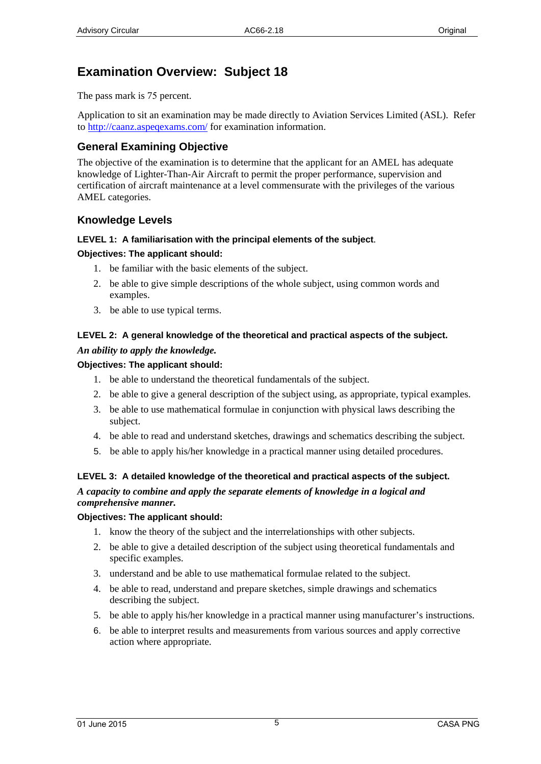## <span id="page-4-0"></span>**Examination Overview: Subject 18**

The pass mark is 75 percent.

Application to sit an examination may be made directly to Aviation Services Limited (ASL). Refer to http://caanz.aspeqexams.com/ for examination information.

### <span id="page-4-1"></span>**General Examining Objective**

The objective of the examination is to determine that the applicant for an AMEL has adequate knowledge of Lighter-Than-Air Aircraft to permit the proper performance, supervision and certification of aircraft maintenance at a level commensurate with the privileges of the various AMEL categories.

#### <span id="page-4-2"></span>**Knowledge Levels**

#### **LEVEL 1: A familiarisation with the principal elements of the subject***.*

#### **Objectives: The applicant should:**

- 1. be familiar with the basic elements of the subject.
- 2. be able to give simple descriptions of the whole subject, using common words and examples.
- 3. be able to use typical terms.

#### **LEVEL 2: A general knowledge of the theoretical and practical aspects of the subject.**  *An ability to apply the knowledge.*

#### **Objectives: The applicant should:**

- 1. be able to understand the theoretical fundamentals of the subject.
- 2. be able to give a general description of the subject using, as appropriate, typical examples.
- 3. be able to use mathematical formulae in conjunction with physical laws describing the subject.
- 4. be able to read and understand sketches, drawings and schematics describing the subject.
- 5. be able to apply his/her knowledge in a practical manner using detailed procedures.

#### **LEVEL 3: A detailed knowledge of the theoretical and practical aspects of the subject.**  *A capacity to combine and apply the separate elements of knowledge in a logical and comprehensive manner.*

#### **Objectives: The applicant should:**

- 1. know the theory of the subject and the interrelationships with other subjects.
- 2. be able to give a detailed description of the subject using theoretical fundamentals and specific examples.
- 3. understand and be able to use mathematical formulae related to the subject.
- 4. be able to read, understand and prepare sketches, simple drawings and schematics describing the subject.
- 5. be able to apply his/her knowledge in a practical manner using manufacturer's instructions.
- 6. be able to interpret results and measurements from various sources and apply corrective action where appropriate.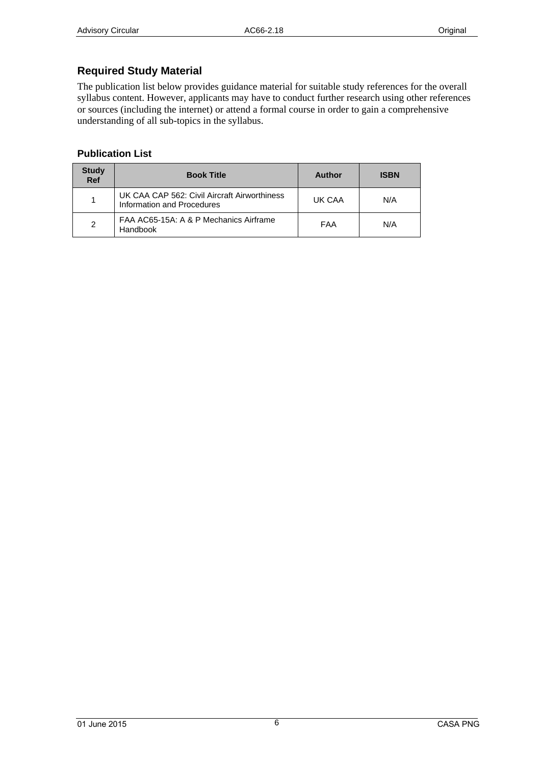## <span id="page-5-0"></span>**Required Study Material**

The publication list below provides guidance material for suitable study references for the overall syllabus content. However, applicants may have to conduct further research using other references or sources (including the internet) or attend a formal course in order to gain a comprehensive understanding of all sub-topics in the syllabus.

#### **Publication List**

| <b>Study</b><br><b>Ref</b> | <b>Book Title</b>                                                          | Author | <b>ISBN</b> |
|----------------------------|----------------------------------------------------------------------------|--------|-------------|
|                            | UK CAA CAP 562: Civil Aircraft Airworthiness<br>Information and Procedures | UK CAA | N/A         |
| $\overline{2}$             | FAA AC65-15A: A & P Mechanics Airframe<br>Handbook                         | FAA    | N/A         |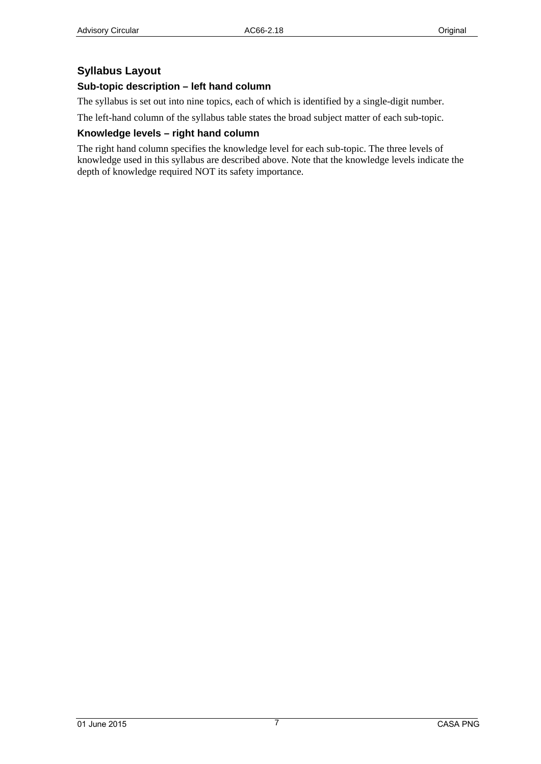### <span id="page-6-0"></span>**Syllabus Layout**

#### **Sub-topic description – left hand column**

The syllabus is set out into nine topics, each of which is identified by a single-digit number.

The left-hand column of the syllabus table states the broad subject matter of each sub-topic.

#### **Knowledge levels – right hand column**

The right hand column specifies the knowledge level for each sub-topic. The three levels of knowledge used in this syllabus are described above. Note that the knowledge levels indicate the depth of knowledge required NOT its safety importance.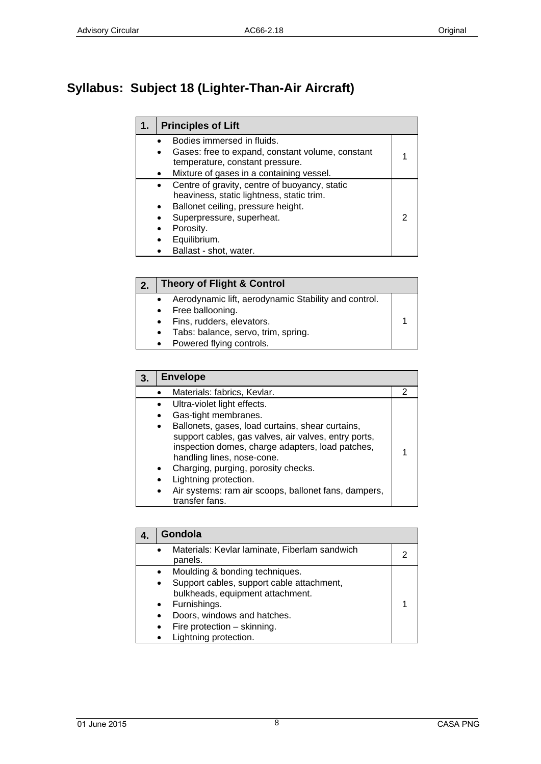# <span id="page-7-1"></span><span id="page-7-0"></span>**Syllabus: Subject 18 (Lighter-Than-Air Aircraft)**

| $\mathbf 1$ . | <b>Principles of Lift</b>                                     |  |
|---------------|---------------------------------------------------------------|--|
|               | Bodies immersed in fluids.                                    |  |
|               | Gases: free to expand, constant volume, constant<br>$\bullet$ |  |
|               | temperature, constant pressure.                               |  |
|               | Mixture of gases in a containing vessel.                      |  |
|               | Centre of gravity, centre of buoyancy, static<br>$\bullet$    |  |
|               | heaviness, static lightness, static trim.                     |  |
|               | Ballonet ceiling, pressure height.<br>$\bullet$               |  |
|               | Superpressure, superheat.                                     |  |
|               | Porosity.                                                     |  |
|               | Equilibrium.                                                  |  |
|               | Ballast - shot, water.                                        |  |

<span id="page-7-2"></span>

| <b>Theory of Flight &amp; Control</b>                |  |
|------------------------------------------------------|--|
| Aerodynamic lift, aerodynamic Stability and control. |  |
| • Free ballooning.                                   |  |
| • Fins, rudders, elevators.                          |  |
| Tabs: balance, servo, trim, spring.<br>$\bullet$     |  |
| • Powered flying controls.                           |  |

<span id="page-7-3"></span>

| 3. |           | <b>Envelope</b>                                      |   |
|----|-----------|------------------------------------------------------|---|
|    |           | Materials: fabrics, Kevlar.                          | 2 |
|    |           | Ultra-violet light effects.                          |   |
|    |           | Gas-tight membranes.                                 |   |
|    | $\bullet$ | Ballonets, gases, load curtains, shear curtains,     |   |
|    |           | support cables, gas valves, air valves, entry ports, |   |
|    |           | inspection domes, charge adapters, load patches,     |   |
|    |           | handling lines, nose-cone.                           |   |
|    |           | Charging, purging, porosity checks.                  |   |
|    |           | Lightning protection.                                |   |
|    |           | Air systems: ram air scoops, ballonet fans, dampers, |   |
|    |           | transfer fans.                                       |   |

<span id="page-7-4"></span>

| Gondola                                                                                                                                                                                                                 |  |
|-------------------------------------------------------------------------------------------------------------------------------------------------------------------------------------------------------------------------|--|
| Materials: Kevlar laminate, Fiberlam sandwich<br>panels.                                                                                                                                                                |  |
| Moulding & bonding techniques.<br>Support cables, support cable attachment,<br>$\bullet$<br>bulkheads, equipment attachment.<br>Furnishings.<br>Doors, windows and hatches.<br>Fire protection - skinning.<br>$\bullet$ |  |
| Lightning protection.                                                                                                                                                                                                   |  |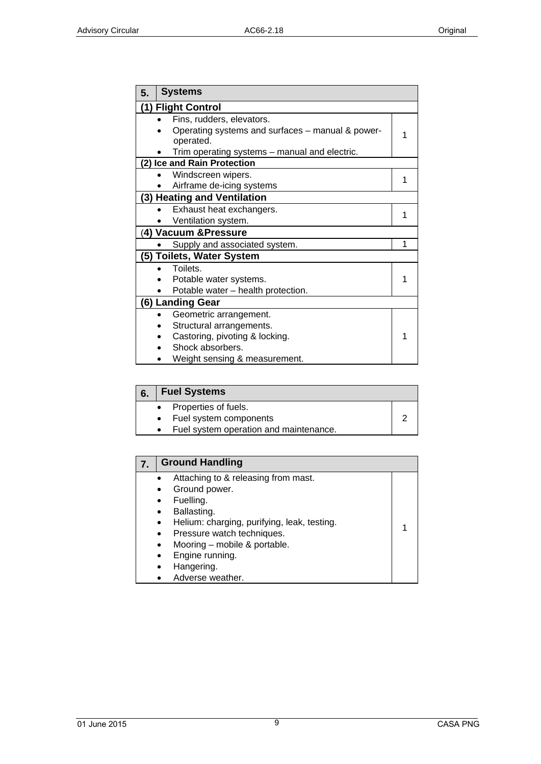<span id="page-8-0"></span>

| 5. | <b>Systems</b>                                                |   |  |
|----|---------------------------------------------------------------|---|--|
|    | (1) Flight Control                                            |   |  |
|    | Fins, rudders, elevators.                                     |   |  |
|    | Operating systems and surfaces - manual & power-<br>operated. |   |  |
|    | Trim operating systems – manual and electric.                 |   |  |
|    | (2) Ice and Rain Protection                                   |   |  |
|    | Windscreen wipers.                                            | 1 |  |
|    | Airframe de-icing systems                                     |   |  |
|    | (3) Heating and Ventilation                                   |   |  |
|    | Exhaust heat exchangers.                                      | 1 |  |
|    | Ventilation system.                                           |   |  |
|    | (4) Vacuum & Pressure                                         |   |  |
|    | Supply and associated system.                                 | 1 |  |
|    | (5) Toilets, Water System                                     |   |  |
|    | Toilets.                                                      |   |  |
|    | Potable water systems.                                        |   |  |
|    | Potable water - health protection.                            |   |  |
|    | (6) Landing Gear                                              |   |  |
|    | Geometric arrangement.                                        |   |  |
|    | Structural arrangements.                                      |   |  |
|    | Castoring, pivoting & locking.                                | 1 |  |
|    | Shock absorbers.                                              |   |  |
|    | Weight sensing & measurement.                                 |   |  |

<span id="page-8-1"></span>

| 6. | <b>Fuel Systems</b>                                                                          |  |
|----|----------------------------------------------------------------------------------------------|--|
|    | • Properties of fuels.<br>• Fuel system components<br>Fuel system operation and maintenance. |  |
|    |                                                                                              |  |

<span id="page-8-2"></span>

| <b>Ground Handling</b>                                                                                                                                                                                                                                                                                      |  |
|-------------------------------------------------------------------------------------------------------------------------------------------------------------------------------------------------------------------------------------------------------------------------------------------------------------|--|
| Attaching to & releasing from mast.<br>Ground power.<br>$\bullet$<br>Fuelling.<br>$\bullet$<br>Ballasting.<br>$\bullet$<br>Helium: charging, purifying, leak, testing.<br>$\bullet$<br>Pressure watch techniques.<br>$\bullet$<br>Mooring - mobile & portable.<br>$\bullet$<br>Engine running.<br>$\bullet$ |  |
| Hangering.<br>$\bullet$<br>Adverse weather.                                                                                                                                                                                                                                                                 |  |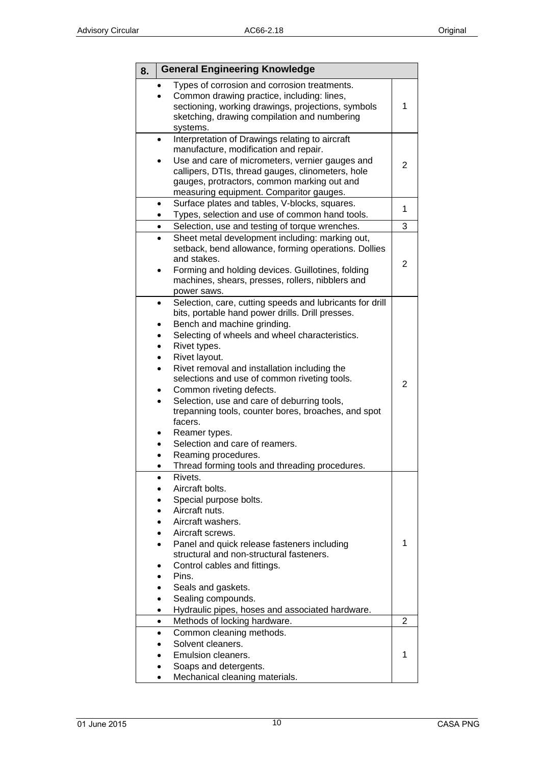<span id="page-9-0"></span>

| 8. | <b>General Engineering Knowledge</b>                                                                                                                                                                                                                                                                                                                                                                                                                                                                                                                                                                                             |                |
|----|----------------------------------------------------------------------------------------------------------------------------------------------------------------------------------------------------------------------------------------------------------------------------------------------------------------------------------------------------------------------------------------------------------------------------------------------------------------------------------------------------------------------------------------------------------------------------------------------------------------------------------|----------------|
|    | Types of corrosion and corrosion treatments.<br>Common drawing practice, including: lines,<br>sectioning, working drawings, projections, symbols<br>sketching, drawing compilation and numbering<br>systems.                                                                                                                                                                                                                                                                                                                                                                                                                     | 1              |
|    | Interpretation of Drawings relating to aircraft<br>$\bullet$<br>manufacture, modification and repair.<br>Use and care of micrometers, vernier gauges and<br>callipers, DTIs, thread gauges, clinometers, hole<br>gauges, protractors, common marking out and<br>measuring equipment. Comparitor gauges.                                                                                                                                                                                                                                                                                                                          | 2              |
|    | Surface plates and tables, V-blocks, squares.<br>$\bullet$<br>Types, selection and use of common hand tools.                                                                                                                                                                                                                                                                                                                                                                                                                                                                                                                     | 1              |
|    | Selection, use and testing of torque wrenches.                                                                                                                                                                                                                                                                                                                                                                                                                                                                                                                                                                                   | 3              |
|    | Sheet metal development including: marking out,<br>setback, bend allowance, forming operations. Dollies<br>and stakes.<br>Forming and holding devices. Guillotines, folding<br>machines, shears, presses, rollers, nibblers and<br>power saws.                                                                                                                                                                                                                                                                                                                                                                                   | 2              |
|    | Selection, care, cutting speeds and lubricants for drill<br>$\bullet$<br>bits, portable hand power drills. Drill presses.<br>Bench and machine grinding.<br>Selecting of wheels and wheel characteristics.<br>Rivet types.<br>Rivet layout.<br>Rivet removal and installation including the<br>selections and use of common riveting tools.<br>Common riveting defects.<br>Selection, use and care of deburring tools,<br>$\bullet$<br>trepanning tools, counter bores, broaches, and spot<br>facers.<br>Reamer types.<br>Selection and care of reamers.<br>Reaming procedures.<br>Thread forming tools and threading procedures | $\overline{2}$ |
|    | Rivets.<br>Aircraft bolts.<br>Special purpose bolts.<br>Aircraft nuts.<br>Aircraft washers.<br>Aircraft screws.<br>Panel and quick release fasteners including<br>structural and non-structural fasteners.<br>Control cables and fittings.<br>Pins.<br>Seals and gaskets.<br>Sealing compounds.<br>Hydraulic pipes, hoses and associated hardware.                                                                                                                                                                                                                                                                               | 1              |
|    | Methods of locking hardware.<br>$\bullet$                                                                                                                                                                                                                                                                                                                                                                                                                                                                                                                                                                                        | 2              |
|    | Common cleaning methods.<br>Solvent cleaners.<br>Emulsion cleaners.<br>Soaps and detergents.<br>Mechanical cleaning materials.                                                                                                                                                                                                                                                                                                                                                                                                                                                                                                   | 1              |